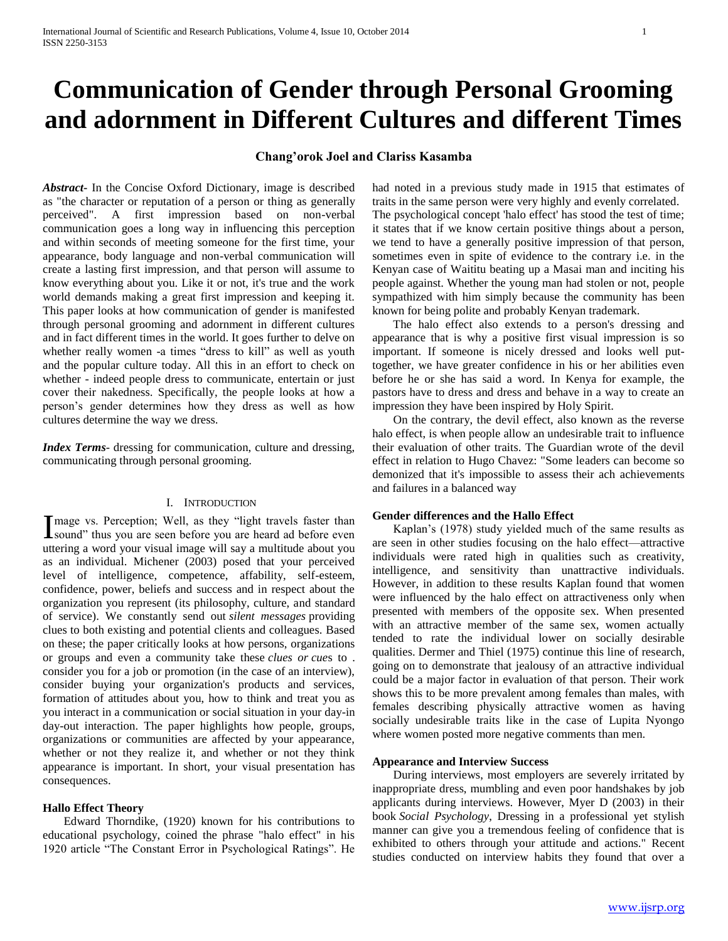# **Communication of Gender through Personal Grooming and adornment in Different Cultures and different Times**

# **Chang'orok Joel and Clariss Kasamba**

*Abstract***-** In the Concise Oxford Dictionary, image is described as "the character or reputation of a person or thing as generally perceived". A first impression based on non-verbal communication goes a long way in influencing this perception and within seconds of meeting someone for the first time, your appearance, body language and non-verbal communication will create a lasting first impression, and that person will assume to know everything about you. Like it or not, it's true and the work world demands making a great first impression and keeping it. This paper looks at how communication of gender is manifested through personal grooming and adornment in different cultures and in fact different times in the world. It goes further to delve on whether really women -a times "dress to kill" as well as youth and the popular culture today. All this in an effort to check on whether - indeed people dress to communicate, entertain or just cover their nakedness. Specifically, the people looks at how a person's gender determines how they dress as well as how cultures determine the way we dress.

*Index Terms*- dressing for communication, culture and dressing, communicating through personal grooming.

# I. INTRODUCTION

mage vs. Perception; Well, as they "light travels faster than I mage vs. Perception; Well, as they "light travels faster than sound" thus you are seen before you are heard ad before even uttering a word your visual image will say a multitude about you as an individual. Michener (2003) posed that your perceived level of intelligence, competence, affability, self-esteem, confidence, power, beliefs and success and in respect about the organization you represent (its philosophy, culture, and standard of service). We constantly send out *silent messages* providing clues to both existing and potential clients and colleagues. Based on these; the paper critically looks at how persons, organizations or groups and even a community take these *clues or cue*s to . consider you for a job or promotion (in the case of an interview), consider buying your organization's products and services, formation of attitudes about you, how to think and treat you as you interact in a communication or social situation in your day-in day-out interaction. The paper highlights how people, groups, organizations or communities are affected by your appearance, whether or not they realize it, and whether or not they think appearance is important. In short, your visual presentation has consequences.

#### **Hallo Effect Theory**

 Edward Thorndike, (1920) known for his contributions to educational psychology, coined the phrase "halo effect" in his 1920 article "The Constant Error in Psychological Ratings". He had noted in a previous study made in 1915 that estimates of traits in the same person were very highly and evenly correlated. The psychological concept 'halo effect' has stood the test of time; it states that if we know certain positive things about a person, we tend to have a generally positive impression of that person, sometimes even in spite of evidence to the contrary i.e. in the Kenyan case of Waititu beating up a Masai man and inciting his people against. Whether the young man had stolen or not, people sympathized with him simply because the community has been known for being polite and probably Kenyan trademark.

 The halo effect also extends to a person's dressing and appearance that is why a positive first visual impression is so important. If someone is nicely dressed and looks well puttogether, we have greater confidence in his or her abilities even before he or she has said a word. In Kenya for example, the pastors have to dress and dress and behave in a way to create an impression they have been inspired by Holy Spirit.

 On the contrary, the devil effect, also known as the reverse halo effect, is when people allow an undesirable trait to influence their evaluation of other traits. The Guardian wrote of the devil effect in relation to Hugo Chavez: "Some leaders can become so demonized that it's impossible to assess their ach achievements and failures in a balanced way

# **Gender differences and the Hallo Effect**

 Kaplan's (1978) study yielded much of the same results as are seen in other studies focusing on the halo effect—attractive individuals were rated high in qualities such as creativity, intelligence, and sensitivity than unattractive individuals. However, in addition to these results Kaplan found that women were influenced by the halo effect on attractiveness only when presented with members of the opposite sex. When presented with an attractive member of the same sex, women actually tended to rate the individual lower on socially desirable qualities. Dermer and Thiel (1975) continue this line of research, going on to demonstrate that jealousy of an attractive individual could be a major factor in evaluation of that person. Their work shows this to be more prevalent among females than males, with females describing physically attractive women as having socially undesirable traits like in the case of Lupita Nyongo where women posted more negative comments than men.

#### **Appearance and Interview Success**

 During interviews, most employers are severely irritated by inappropriate dress, mumbling and even poor handshakes by job applicants during interviews. However, Myer D (2003) in their book *Social Psychology*, Dressing in a professional yet stylish manner can give you a tremendous feeling of confidence that is exhibited to others through your attitude and actions." Recent studies conducted on interview habits they found that over a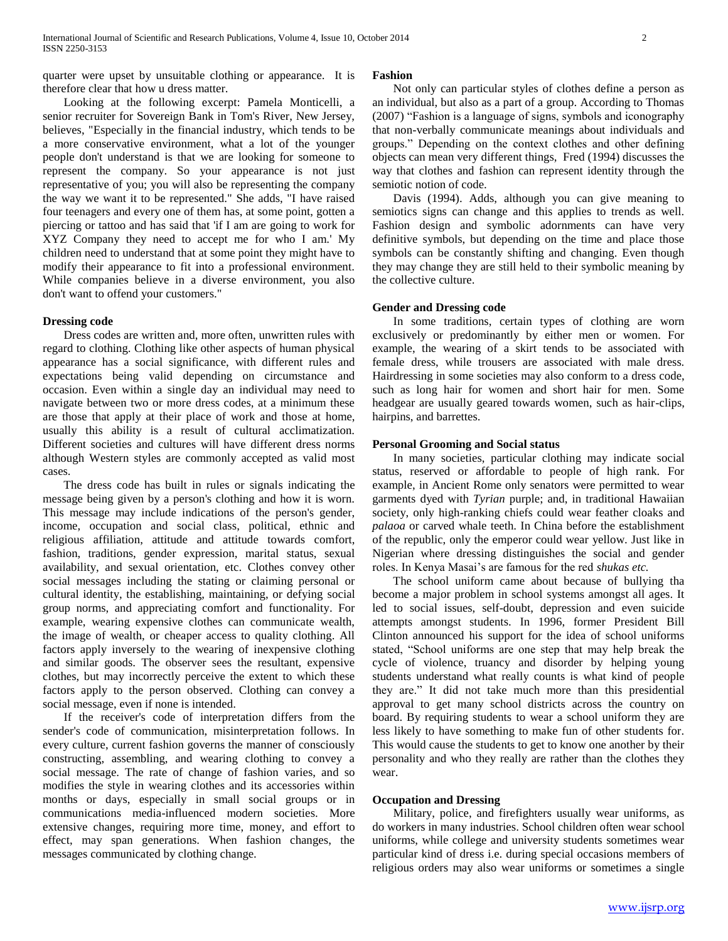quarter were upset by unsuitable clothing or appearance. It is therefore clear that how u dress matter.

 Looking at the following excerpt: Pamela Monticelli, a senior recruiter for Sovereign Bank in Tom's River, New Jersey, believes, "Especially in the financial industry, which tends to be a more conservative environment, what a lot of the younger people don't understand is that we are looking for someone to represent the company. So your appearance is not just representative of you; you will also be representing the company the way we want it to be represented." She adds, "I have raised four teenagers and every one of them has, at some point, gotten a piercing or tattoo and has said that 'if I am are going to work for XYZ Company they need to accept me for who I am.' My children need to understand that at some point they might have to modify their appearance to fit into a professional environment. While companies believe in a diverse environment, you also don't want to offend your customers."

## **Dressing code**

 Dress codes are written and, more often, unwritten rules with regard to clothing. Clothing like other aspects of human physical appearance has a social significance, with different rules and expectations being valid depending on circumstance and occasion. Even within a single day an individual may need to navigate between two or more dress codes, at a minimum these are those that apply at their place of work and those at home, usually this ability is a result of cultural acclimatization. Different societies and cultures will have different dress norms although Western styles are commonly accepted as valid most cases.

 The dress code has built in rules or signals indicating the message being given by a person's clothing and how it is worn. This message may include indications of the person's gender, income, occupation and social class, political, ethnic and religious affiliation, attitude and attitude towards comfort, fashion, traditions, gender expression, marital status, sexual availability, and sexual orientation, etc. Clothes convey other social messages including the stating or claiming personal or cultural identity, the establishing, maintaining, or defying social group norms, and appreciating comfort and functionality. For example, wearing expensive clothes can communicate wealth, the image of wealth, or cheaper access to quality clothing. All factors apply inversely to the wearing of inexpensive clothing and similar goods. The observer sees the resultant, expensive clothes, but may incorrectly perceive the extent to which these factors apply to the person observed. Clothing can convey a social message, even if none is intended.

 If the receiver's code of interpretation differs from the sender's code of communication, misinterpretation follows. In every culture, current fashion governs the manner of consciously constructing, assembling, and wearing clothing to convey a social message. The rate of change of fashion varies, and so modifies the style in wearing clothes and its accessories within months or days, especially in small social groups or in communications media-influenced modern societies. More extensive changes, requiring more time, money, and effort to effect, may span generations. When fashion changes, the messages communicated by clothing change.

#### **Fashion**

 Not only can particular styles of clothes define a person as an individual, but also as a part of a group. According to Thomas (2007) "Fashion is a language of signs, symbols and iconography that non-verbally communicate meanings about individuals and groups.‖ Depending on the context clothes and other defining objects can mean very different things, Fred (1994) discusses the way that clothes and fashion can represent identity through the semiotic notion of code.

 Davis (1994). Adds, although you can give meaning to semiotics signs can change and this applies to trends as well. Fashion design and symbolic adornments can have very definitive symbols, but depending on the time and place those symbols can be constantly shifting and changing. Even though they may change they are still held to their symbolic meaning by the collective culture.

## **Gender and Dressing code**

 In some traditions, certain types of clothing are worn exclusively or predominantly by either men or women. For example, the wearing of a skirt tends to be associated with female dress, while trousers are associated with male dress. Hairdressing in some societies may also conform to a dress code, such as long hair for women and short hair for men. Some headgear are usually geared towards women, such as hair-clips, hairpins, and barrettes.

## **Personal Grooming and Social status**

 In many societies, particular clothing may indicate social status, reserved or affordable to people of high rank. For example, in Ancient Rome only senators were permitted to wear garments dyed with *Tyrian* purple; and, in traditional Hawaiian society, only high-ranking chiefs could wear feather cloaks and *palaoa* or carved whale teeth. In China before the establishment of the republic, only the emperor could wear yellow. Just like in Nigerian where dressing distinguishes the social and gender roles. In Kenya Masai's are famous for the red *shukas etc.*

 The school uniform came about because of bullying tha become a major problem in school systems amongst all ages. It led to social issues, self-doubt, depression and even suicide attempts amongst students. In 1996, former President Bill Clinton announced his support for the idea of school uniforms stated, "School uniforms are one step that may help break the cycle of violence, truancy and disorder by helping young students understand what really counts is what kind of people they are." It did not take much more than this presidential approval to get many school districts across the country on board. By requiring students to wear a school uniform they are less likely to have something to make fun of other students for. This would cause the students to get to know one another by their personality and who they really are rather than the clothes they wear.

## **Occupation and Dressing**

 Military, police, and firefighters usually wear uniforms, as do workers in many industries. School children often wear school uniforms, while college and university students sometimes wear particular kind of dress i.e. during special occasions members of religious orders may also wear uniforms or sometimes a single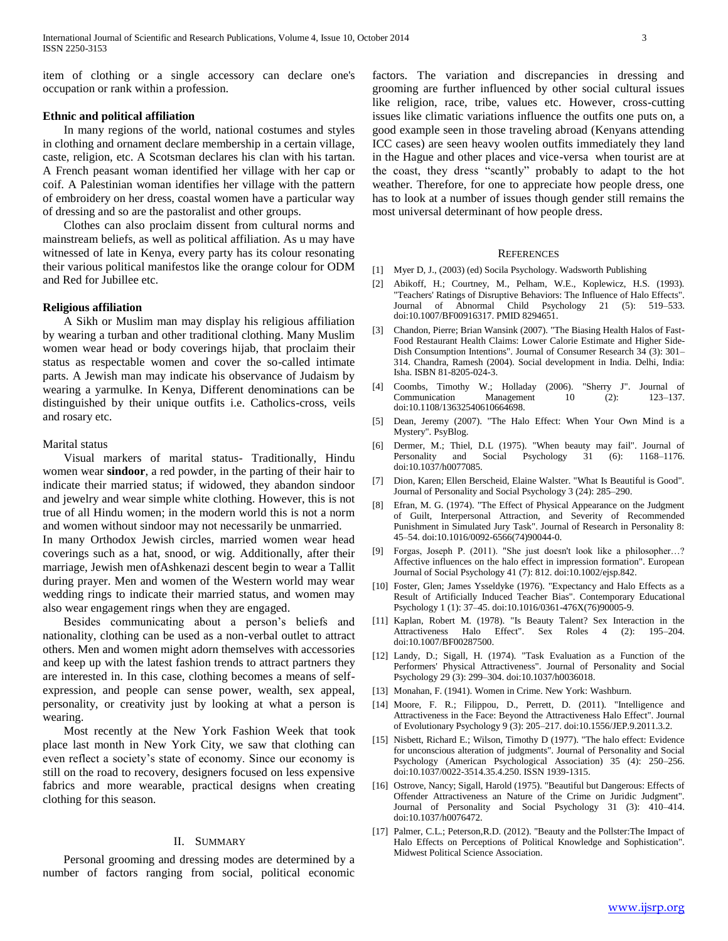item of clothing or a single accessory can declare one's occupation or rank within a profession.

#### **Ethnic and political affiliation**

 In many regions of the world, national costumes and styles in clothing and ornament declare membership in a certain village, caste, religion, etc. A Scotsman declares his clan with his tartan. A French peasant woman identified her village with her cap or coif. A Palestinian woman identifies her village with the pattern of embroidery on her dress, coastal women have a particular way of dressing and so are the pastoralist and other groups.

 Clothes can also proclaim dissent from cultural norms and mainstream beliefs, as well as political affiliation. As u may have witnessed of late in Kenya, every party has its colour resonating their various political manifestos like the orange colour for ODM and Red for Jubillee etc.

## **Religious affiliation**

 A Sikh or Muslim man may display his religious affiliation by wearing a turban and other traditional clothing. Many Muslim women wear head or body coverings hijab, that proclaim their status as respectable women and cover the so-called intimate parts. A Jewish man may indicate his observance of Judaism by wearing a yarmulke. In Kenya, Different denominations can be distinguished by their unique outfits i.e. Catholics-cross, veils and rosary etc.

#### Marital status

 Visual markers of marital status- Traditionally, Hindu women wear **sindoor**, a red powder, in the parting of their hair to indicate their married status; if widowed, they abandon sindoor and jewelry and wear simple white clothing. However, this is not true of all Hindu women; in the modern world this is not a norm and women without sindoor may not necessarily be unmarried. In many Orthodox Jewish circles, married women wear head coverings such as a hat, snood, or wig. Additionally, after their marriage, Jewish men ofAshkenazi descent begin to wear a Tallit during prayer. Men and women of the Western world may wear wedding rings to indicate their married status, and women may also wear engagement rings when they are engaged.

 Besides communicating about a person's beliefs and nationality, clothing can be used as a non-verbal outlet to attract others. Men and women might adorn themselves with accessories and keep up with the latest fashion trends to attract partners they are interested in. In this case, clothing becomes a means of selfexpression, and people can sense power, wealth, sex appeal, personality, or creativity just by looking at what a person is wearing.

 Most recently at the New York Fashion Week that took place last month in New York City, we saw that clothing can even reflect a society's state of economy. Since our economy is still on the road to recovery, designers focused on less expensive fabrics and more wearable, practical designs when creating clothing for this season.

# II. SUMMARY

 Personal grooming and dressing modes are determined by a number of factors ranging from social, political economic factors. The variation and discrepancies in dressing and grooming are further influenced by other social cultural issues like religion, race, tribe, values etc. However, cross-cutting issues like climatic variations influence the outfits one puts on, a good example seen in those traveling abroad (Kenyans attending ICC cases) are seen heavy woolen outfits immediately they land in the Hague and other places and vice-versa when tourist are at the coast, they dress "scantly" probably to adapt to the hot weather. Therefore, for one to appreciate how people dress, one has to look at a number of issues though gender still remains the most universal determinant of how people dress.

#### **REFERENCES**

- [1] Myer D, J., (2003) (ed) Socila Psychology. Wadsworth Publishing
- [2] Abikoff, H.; Courtney, M., Pelham, W.E., Koplewicz, H.S. (1993). "Teachers' Ratings of Disruptive Behaviors: The Influence of Halo Effects". Journal of Abnormal Child Psychology 21 (5): 519–533. doi:10.1007/BF00916317. PMID 8294651.
- [3] Chandon, Pierre; Brian Wansink (2007). "The Biasing Health Halos of Fast-Food Restaurant Health Claims: Lower Calorie Estimate and Higher Side-Dish Consumption Intentions". Journal of Consumer Research 34 (3): 301– 314. Chandra, Ramesh (2004). Social development in India. Delhi, India: Isha. ISBN 81-8205-024-3.
- [4] Coombs, Timothy W.; Holladay (2006). "Sherry J". Journal of Communication Management 10 (2): 123-137. doi:10.1108/13632540610664698.
- [5] Dean, Jeremy (2007). "The Halo Effect: When Your Own Mind is a Mystery". PsyBlog.
- [6] Dermer, M.; Thiel, D.L (1975). "When beauty may fail". Journal of Personality and Social Psychology 31 (6): 1168–1176. doi:10.1037/h0077085.
- [7] Dion, Karen; Ellen Berscheid, Elaine Walster. "What Is Beautiful is Good". Journal of Personality and Social Psychology 3 (24): 285–290.
- [8] Efran, M. G. (1974). "The Effect of Physical Appearance on the Judgment of Guilt, Interpersonal Attraction, and Severity of Recommended Punishment in Simulated Jury Task". Journal of Research in Personality 8: 45–54. doi:10.1016/0092-6566(74)90044-0.
- [9] Forgas, Joseph P. (2011). "She just doesn't look like a philosopher…? Affective influences on the halo effect in impression formation". European Journal of Social Psychology 41 (7): 812. doi:10.1002/ejsp.842.
- [10] Foster, Glen; James Ysseldyke (1976). "Expectancy and Halo Effects as a Result of Artificially Induced Teacher Bias". Contemporary Educational Psychology 1 (1): 37–45. doi:10.1016/0361-476X(76)90005-9.
- [11] Kaplan, Robert M. (1978). "Is Beauty Talent? Sex Interaction in the Attractiveness Halo Effect". Sex Roles 4 (2): 195–204. doi:10.1007/BF00287500.
- [12] Landy, D.; Sigall, H. (1974). "Task Evaluation as a Function of the Performers' Physical Attractiveness". Journal of Personality and Social Psychology 29 (3): 299–304. doi:10.1037/h0036018.
- [13] Monahan, F. (1941). Women in Crime. New York: Washburn.
- [14] Moore, F. R.; Filippou, D., Perrett, D. (2011). "Intelligence and Attractiveness in the Face: Beyond the Attractiveness Halo Effect". Journal of Evolutionary Psychology 9 (3): 205–217. doi:10.1556/JEP.9.2011.3.2.
- [15] Nisbett, Richard E.; Wilson, Timothy D (1977). "The halo effect: Evidence for unconscious alteration of judgments". Journal of Personality and Social Psychology (American Psychological Association) 35 (4): 250–256. doi:10.1037/0022-3514.35.4.250. ISSN 1939-1315.
- [16] Ostrove, Nancy; Sigall, Harold (1975). "Beautiful but Dangerous: Effects of Offender Attractiveness an Nature of the Crime on Juridic Judgment". Journal of Personality and Social Psychology 31 (3): 410–414. doi:10.1037/h0076472.
- [17] Palmer, C.L.; Peterson, R.D. (2012). "Beauty and the Pollster: The Impact of Halo Effects on Perceptions of Political Knowledge and Sophistication". Midwest Political Science Association.